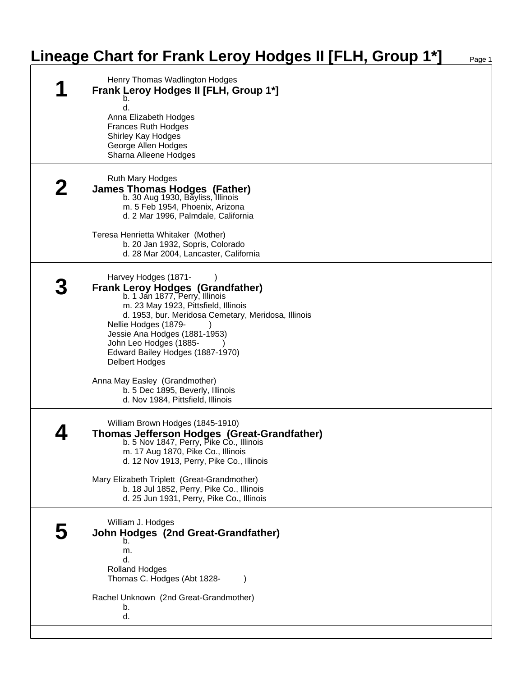## **Lineage Chart for Frank Leroy Hodges II [FLH, Group 1\*]** Page 1

| Henry Thomas Wadlington Hodges<br>Frank Leroy Hodges II [FLH, Group 1*]                     |
|---------------------------------------------------------------------------------------------|
| b.                                                                                          |
| d.                                                                                          |
| Anna Elizabeth Hodges<br><b>Frances Ruth Hodges</b>                                         |
| Shirley Kay Hodges                                                                          |
| George Allen Hodges                                                                         |
| Sharna Alleene Hodges                                                                       |
| Ruth Mary Hodges                                                                            |
| <b>James Thomas Hodges (Father)</b>                                                         |
| b. 30 Aug 1930, Bayliss, Illinois                                                           |
| m. 5 Feb 1954, Phoenix, Arizona                                                             |
| d. 2 Mar 1996, Palmdale, California                                                         |
| Teresa Henrietta Whitaker (Mother)                                                          |
| b. 20 Jan 1932, Sopris, Colorado                                                            |
| d. 28 Mar 2004, Lancaster, California                                                       |
| Harvey Hodges (1871-                                                                        |
| <b>Frank Leroy Hodges (Grandfather)</b>                                                     |
| b. 1 Jan 1877, Perry, Illinois                                                              |
| m. 23 May 1923, Pittsfield, Illinois<br>d. 1953, bur. Meridosa Cemetary, Meridosa, Illinois |
| Nellie Hodges (1879-                                                                        |
| Jessie Ana Hodges (1881-1953)                                                               |
| John Leo Hodges (1885-                                                                      |
| Edward Bailey Hodges (1887-1970)<br><b>Delbert Hodges</b>                                   |
|                                                                                             |
| Anna May Easley (Grandmother)                                                               |
| b. 5 Dec 1895, Beverly, Illinois                                                            |
| d. Nov 1984, Pittsfield, Illinois                                                           |
| William Brown Hodges (1845-1910)                                                            |
| Thomas Jefferson Hodges (Great-Grandfather)<br>b. 5 Nov 1847, Perry, Pike Co., Illinois     |
|                                                                                             |
| m. 17 Aug 1870, Pike Co., Illinois<br>d. 12 Nov 1913, Perry, Pike Co., Illinois             |
|                                                                                             |
| Mary Elizabeth Triplett (Great-Grandmother)                                                 |
| b. 18 Jul 1852, Perry, Pike Co., Illinois<br>d. 25 Jun 1931, Perry, Pike Co., Illinois      |
|                                                                                             |
| William J. Hodges                                                                           |
| John Hodges (2nd Great-Grandfather)                                                         |
| b.<br>m.                                                                                    |
| d.                                                                                          |
| <b>Rolland Hodges</b>                                                                       |
| Thomas C. Hodges (Abt 1828-                                                                 |
| Rachel Unknown (2nd Great-Grandmother)                                                      |
| b.                                                                                          |
| d.                                                                                          |
|                                                                                             |